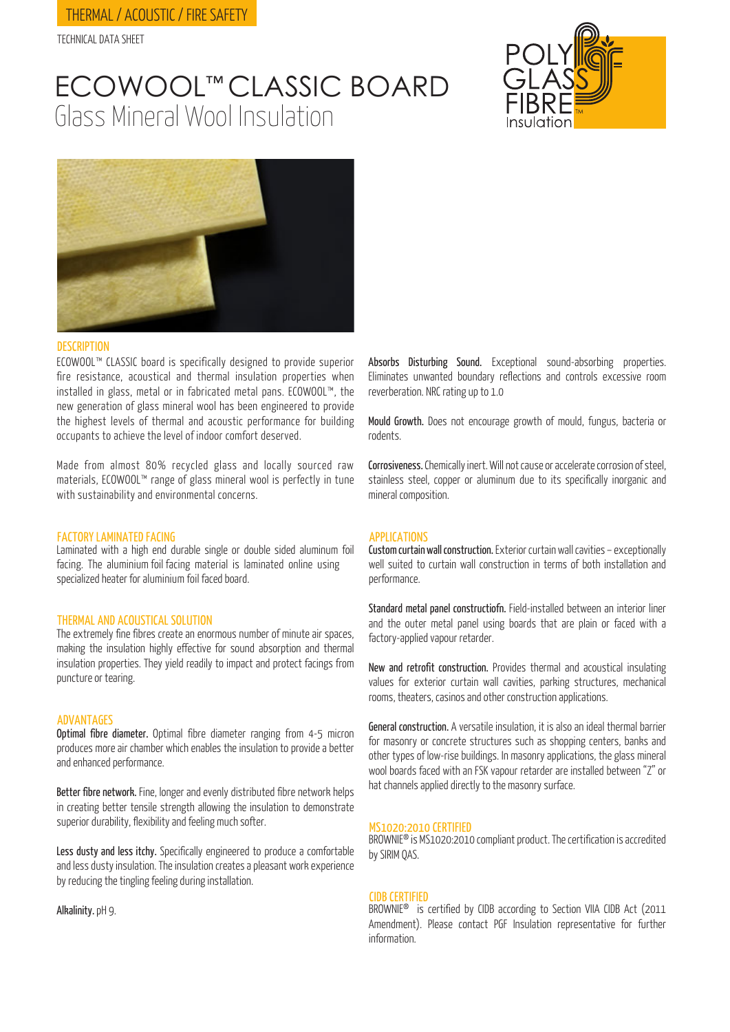# THERMAL / ACOUSTIC / FIRE SAFETY

TECHNICAL DATA SHEET

# Glass Mineral Wool Insulation ECOWOOL™ CLASSIC BOARD





# **DESCRIPTION**

ECOWOOL™ CLASSIC board is specifically designed to provide superior fire resistance, acoustical and thermal insulation properties when installed in glass, metal or in fabricated metal pans. ECOWOOL™, the new generation of glass mineral wool has been engineered to provide the highest levels of thermal and acoustic performance for building occupants to achieve the level of indoor comfort deserved.

Made from almost 80% recycled glass and locally sourced raw materials, ECOWOOL™ range of glass mineral wool is perfectly in tune with sustainability and environmental concerns.

### FACTORY LAMINATED FACING

Laminated with a high end durable single or double sided aluminum foil facing. The aluminium foil facing material is laminated online using specialized heater for aluminium foil faced board.

### THERMAL AND ACOUSTICAL SOLUTION

The extremely fine fibres create an enormous number of minute air spaces, making the insulation highly effective for sound absorption and thermal insulation properties. They yield readily to impact and protect facings from puncture or tearing.

### ADVANTAGES

Optimal fibre diameter. Optimal fibre diameter ranging from 4-5 micron produces more air chamber which enables the insulation to provide a better and enhanced performance.

Better fibre network. Fine, longer and evenly distributed fibre network helps in creating better tensile strength allowing the insulation to demonstrate superior durability, flexibility and feeling much softer.

Less dusty and less itchy. Specifically engineered to produce a comfortable and less dusty insulation. The insulation creates a pleasant work experience by reducing the tingling feeling during installation.

Alkalinity. pH 9.

Absorbs Disturbing Sound. Exceptional sound-absorbing properties. Eliminates unwanted boundary reflections and controls excessive room reverberation. NRC rating up to 1.0

Mould Growth. Does not encourage growth of mould, fungus, bacteria or rodents.

Corrosiveness. Chemically inert. Will not cause or accelerate corrosion of steel, stainless steel, copper or aluminum due to its specifically inorganic and mineral composition.

### APPLICATIONS

Custom curtain wall construction. Exterior curtain wall cavities – exceptionally well suited to curtain wall construction in terms of both installation and performance.

Standard metal panel constructiofn. Field-installed between an interior liner and the outer metal panel using boards that are plain or faced with a factory-applied vapour retarder.

New and retrofit construction. Provides thermal and acoustical insulating values for exterior curtain wall cavities, parking structures, mechanical rooms, theaters, casinos and other construction applications.

General construction. A versatile insulation, it is also an ideal thermal barrier for masonry or concrete structures such as shopping centers, banks and other types of low-rise buildings. In masonry applications, the glass mineral wool boards faced with an FSK vapour retarder are installed between "Z" or hat channels applied directly to the masonry surface.

### MS1020:2010 CERTIFIED

BROWNIE® is MS1020:2010 compliant product. The certification is accredited by SIRIM QAS.

### CIDB CERTIFIED

BROWNIE® is certified by CIDB according to Section VIIA CIDB Act (2011 Amendment). Please contact PGF Insulation representative for further information.